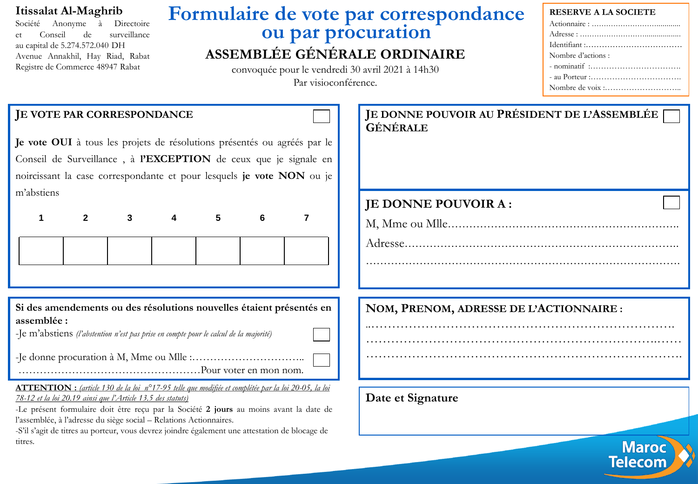### **Itissalat Al-Maghrib**

Société Anonyme à Directoire et Conseil de surveillance au capital de 5.274.572.040 DH Avenue Annakhil, Hay Riad, Rabat Registre de Commerce 48947 Rabat

## **Formulaire de vote par correspondance ou par procuration ASSEMBLÉE GÉNÉRALE ORDINAIRE**

convoquée pour le vendredi 30 avril 2021 à 14h30 Par visioconférence.

#### **RESERVE A LA SOCIETE**

| Nombre d'actions : |
|--------------------|
|                    |
| $-$ au Porteur :   |
|                    |

**Telecom** 

| JE VOTE PAR CORRESPONDANCE                                                                                                        |              |  |   |   |                                                                                                                                                                                                      | JE DONNE POUVOIR AU PRÉSIDENT DE L'ASSEMBLÉE<br><b>GÉNÉRALE</b> |
|-----------------------------------------------------------------------------------------------------------------------------------|--------------|--|---|---|------------------------------------------------------------------------------------------------------------------------------------------------------------------------------------------------------|-----------------------------------------------------------------|
|                                                                                                                                   |              |  |   |   | Je vote OUI à tous les projets de résolutions présentés ou agréés par le                                                                                                                             |                                                                 |
|                                                                                                                                   |              |  |   |   | Conseil de Surveillance, à l'EXCEPTION de ceux que je signale en                                                                                                                                     |                                                                 |
|                                                                                                                                   |              |  |   |   | noircissant la case correspondante et pour lesquels je vote NON ou je                                                                                                                                |                                                                 |
| m'abstiens                                                                                                                        |              |  |   |   |                                                                                                                                                                                                      |                                                                 |
|                                                                                                                                   |              |  |   |   |                                                                                                                                                                                                      | JE DONNE POUVOIR A:                                             |
|                                                                                                                                   | $\mathbf{2}$ |  | 5 | 6 | 7                                                                                                                                                                                                    |                                                                 |
|                                                                                                                                   |              |  |   |   |                                                                                                                                                                                                      |                                                                 |
|                                                                                                                                   |              |  |   |   |                                                                                                                                                                                                      |                                                                 |
| assemblée :                                                                                                                       |              |  |   |   | Si des amendements ou des résolutions nouvelles étaient présentés en                                                                                                                                 | NOM, PRENOM, ADRESSE DE L'ACTIONNAIRE :                         |
| -Je m'abstiens (l'abstention n'est pas prise en compte pour le calcul de la majorité)                                             |              |  |   |   |                                                                                                                                                                                                      |                                                                 |
|                                                                                                                                   |              |  |   |   |                                                                                                                                                                                                      |                                                                 |
| 78-12 et la loi 20.19 ainsi que l'Article 13.5 des statuts)<br>l'assemblée, à l'adresse du siège social - Relations Actionnaires. |              |  |   |   | <b>ATTENTION</b> : (article 130 de la loi n°17-95 telle que modifiée et complétée par la loi 20-05, la loi<br>-Le présent formulaire doit être reçu par la Société 2 jours au moins avant la date de | Date et Signature                                               |
| titres.                                                                                                                           |              |  |   |   | -S'il s'agit de titres au porteur, vous devrez joindre également une attestation de blocage de                                                                                                       |                                                                 |
|                                                                                                                                   |              |  |   |   |                                                                                                                                                                                                      | <b>Maroc</b>                                                    |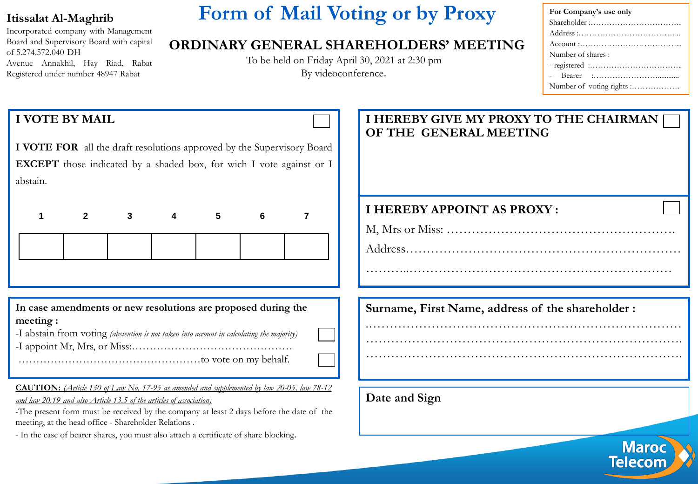### **Itissalat Al-Maghrib**

Incorporated company with Management Board and Supervisory Board with capital of 5.274.572.040 DH Avenue Annakhil, Hay Riad, Rabat Registered under number 48947 Rabat

# **Form of Mail Voting or by Proxy**

### **ORDINARY GENERAL SHAREHOLDERS' MEETING**

To be held on Friday April 30, 2021 at 2:30 pm By videoconference.

| For Company's use only    |
|---------------------------|
| Shareholder :             |
|                           |
|                           |
| Number of shares:         |
|                           |
|                           |
| Number of voting rights : |

**Maroc Telecom** 

### **I VOTE BY MAIL**

**I VOTE FOR** all the draft resolutions approved by the Supervisory Board **EXCEPT** those indicated by a shaded box, for wich I vote against or I abstain.

**In case amendments or new resolutions are proposed during the meeting :**

|  |  | -I abstain from voting (abstention is not taken into account in calculating the majority) |  |
|--|--|-------------------------------------------------------------------------------------------|--|
|  |  |                                                                                           |  |

-I appoint Mr, Mrs, or Miss:………………………………………

……………………………………………to vote on my behalf.

**CAUTION:** *(Article 130 of Law No. 17-95 as amended and supplemented by law 20-05, law 78-12 and law 20.19 and also Article 13.5 of the articles of association)*

-The present form must be received by the company at least 2 days before the date of the meeting, at the head office - Shareholder Relations .

- In the case of bearer shares, you must also attach a certificate of share blocking.

### **I HEREBY GIVE MY PROXY TO THE CHAIRMAN OF THE GENERAL MEETING**

### **I HEREBY APPOINT AS PROXY :**

M, Mrs or Miss: ……………………………………………….

Address………………………………………………………… ………..………………………………………………………

.…………………………………………………………………

…………………………………………………………………. ………………………………………………………………….

**Surname, First Name, address of the shareholder :**

**Date and Sign**